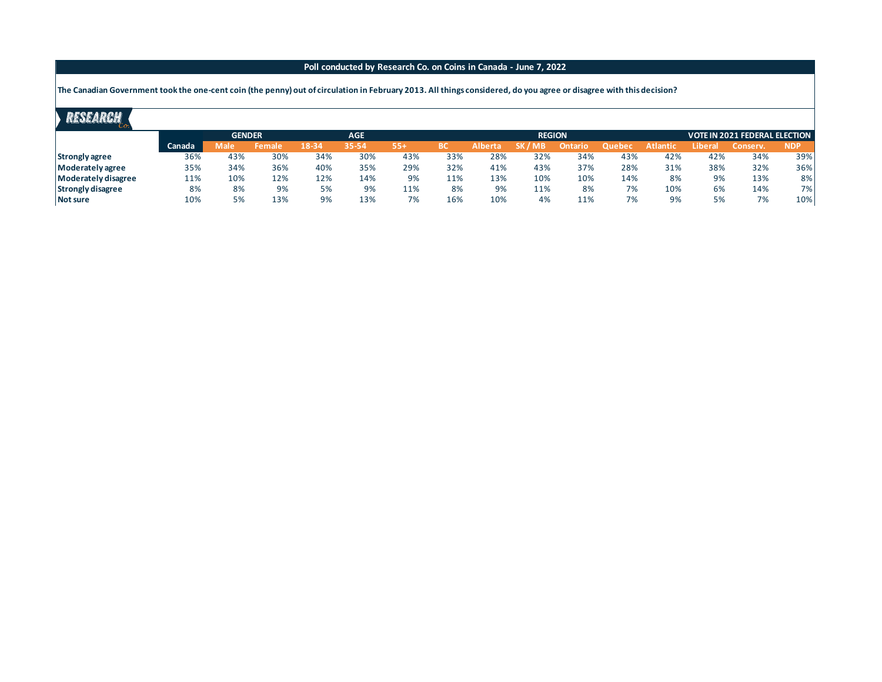## **Poll conducted by Research Co. on Coins in Canada - June 7, 2022**

**The Canadian Government took the one-cent coin (the penny) out of circulation in February 2013. All things considered, do you agree or disagree with this decision?** 

## RESEARCH

| --                       |        |               |        |            |       |       |               |                |                          |         |        |          |                               |         |            |  |
|--------------------------|--------|---------------|--------|------------|-------|-------|---------------|----------------|--------------------------|---------|--------|----------|-------------------------------|---------|------------|--|
|                          |        | <b>GENDER</b> |        | <b>AGE</b> |       |       | <b>REGION</b> |                |                          |         |        |          | VOTE IN 2021 FEDERAL ELECTION |         |            |  |
|                          | Canada | Male          | Female | 18-34      | 35-54 | $55+$ | ВC            | <b>Alberta</b> | <b>SK7</b><br><b>YMB</b> | Ontario | Quebec | Atlantic | Liberal                       | Conserv | <b>NDP</b> |  |
| <b>Strongly agree</b>    | 36%    | 43%           | 30%    | 34%        | 30%   | 43%   | 33%           | 28%            | 32%                      | 34%     | 43%    | 42%      | 42%                           | 34%     | 39%        |  |
| Moderately agree         | 35%    | 34%           | 36%    | 40%        | 35%   | 29%   | 32%           | 41%            | 43%                      | 37%     | 28%    | 31%      | 38%                           | 32%     | 36%        |  |
| Moderately disagree      | 11%    | 10%           | 12%    | 12%        | 14%   | 9%    | 11%           | 13%            | 10%                      | 10%     | 14%    | 8%       | 9%                            | 13%     | 8%         |  |
| <b>Strongly disagree</b> | 8%     | 8%            | 9%     | 5%         | 9%    | 11%   | 8%            | 9%             | 11%                      | 8%      | 7%     | 10%      | 6%                            | 14%     | 7%         |  |
| Not sure                 | 10%    | 5%            | 13%    | 9%         | 13%   | 7%    | 16%           | 10%            | 4%                       | 11%     | 7%     | 9%       | 5%                            | 7%      | 10%        |  |